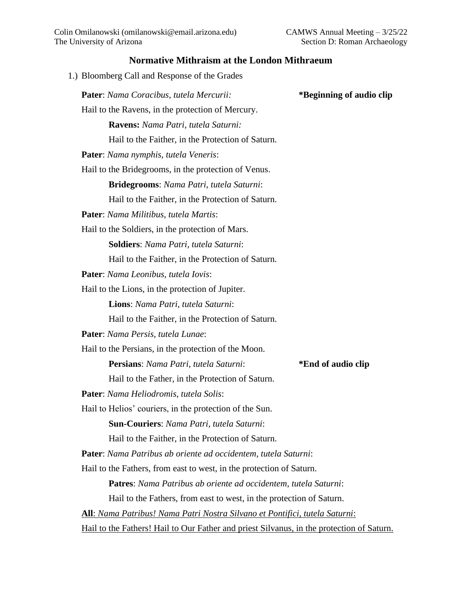## **Normative Mithraism at the London Mithraeum**

| Pater: Nama Coracibus, tutela Mercurii:                                                   | *Beginning of audio clip |
|-------------------------------------------------------------------------------------------|--------------------------|
| Hail to the Ravens, in the protection of Mercury.                                         |                          |
| Ravens: Nama Patri, tutela Saturni:                                                       |                          |
| Hail to the Faither, in the Protection of Saturn.                                         |                          |
| <b>Pater:</b> Nama nymphis, tutela Veneris:                                               |                          |
| Hail to the Bridegrooms, in the protection of Venus.                                      |                          |
| Bridegrooms: Nama Patri, tutela Saturni:                                                  |                          |
| Hail to the Faither, in the Protection of Saturn.                                         |                          |
| <b>Pater:</b> Nama Militibus, tutela Martis:                                              |                          |
| Hail to the Soldiers, in the protection of Mars.                                          |                          |
| <b>Soldiers:</b> Nama Patri, tutela Saturni:                                              |                          |
| Hail to the Faither, in the Protection of Saturn.                                         |                          |
| Pater: Nama Leonibus, tutela Iovis:                                                       |                          |
| Hail to the Lions, in the protection of Jupiter.                                          |                          |
| Lions: Nama Patri, tutela Saturni:                                                        |                          |
| Hail to the Faither, in the Protection of Saturn.                                         |                          |
| Pater: Nama Persis, tutela Lunae:                                                         |                          |
| Hail to the Persians, in the protection of the Moon.                                      |                          |
| Persians: Nama Patri, tutela Saturni:                                                     | *End of audio clip       |
| Hail to the Father, in the Protection of Saturn.                                          |                          |
| Pater: Nama Heliodromis, tutela Solis:                                                    |                          |
| Hail to Helios' couriers, in the protection of the Sun                                    |                          |
| Sun-Couriers: Nama Patri, tutela Saturni:                                                 |                          |
| Hail to the Faither, in the Protection of Saturn.                                         |                          |
| Pater: Nama Patribus ab oriente ad occidentem, tutela Saturni:                            |                          |
| Hail to the Fathers, from east to west, in the protection of Saturn.                      |                          |
| Patres: Nama Patribus ab oriente ad occidentem, tutela Saturni:                           |                          |
| Hail to the Fathers, from east to west, in the protection of Saturn.                      |                          |
| <b>All</b> : Nama Patribus! Nama Patri Nostra Silvano et Pontifici, tutela Saturni:       |                          |
| Hail to the Fathers! Hail to Our Father and priest Silvanus, in the protection of Saturn. |                          |